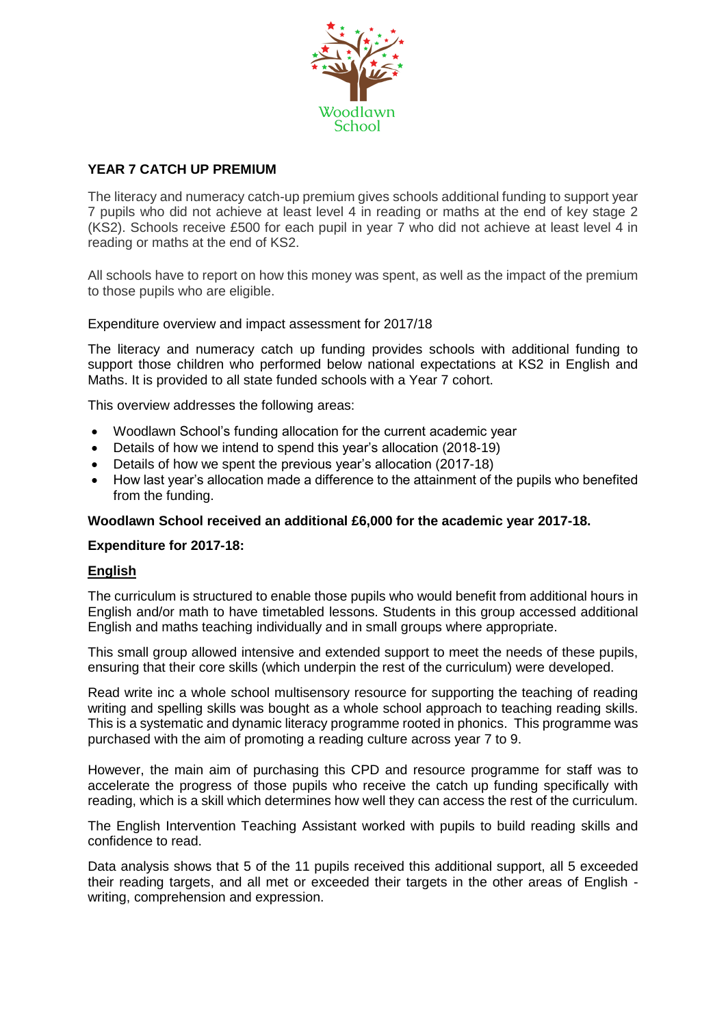

## **YEAR 7 CATCH UP PREMIUM**

The literacy and numeracy catch-up premium gives schools additional funding to support year 7 pupils who did not achieve at least level 4 in reading or maths at the end of key stage 2 (KS2). Schools receive £500 for each pupil in year 7 who did not achieve at least level 4 in reading or maths at the end of KS2.

All schools have to report on how this money was spent, as well as the impact of the premium to those pupils who are eligible.

Expenditure overview and impact assessment for 2017/18

The literacy and numeracy catch up funding provides schools with additional funding to support those children who performed below national expectations at KS2 in English and Maths. It is provided to all state funded schools with a Year 7 cohort.

This overview addresses the following areas:

- Woodlawn School's funding allocation for the current academic year
- Details of how we intend to spend this year's allocation (2018-19)
- Details of how we spent the previous year's allocation (2017-18)
- How last year's allocation made a difference to the attainment of the pupils who benefited from the funding.

#### **Woodlawn School received an additional £6,000 for the academic year 2017-18.**

#### **Expenditure for 2017-18:**

#### **English**

The curriculum is structured to enable those pupils who would benefit from additional hours in English and/or math to have timetabled lessons. Students in this group accessed additional English and maths teaching individually and in small groups where appropriate.

This small group allowed intensive and extended support to meet the needs of these pupils, ensuring that their core skills (which underpin the rest of the curriculum) were developed.

Read write inc a whole school multisensory resource for supporting the teaching of reading writing and spelling skills was bought as a whole school approach to teaching reading skills. This is a systematic and dynamic literacy programme rooted in phonics. This programme was purchased with the aim of promoting a reading culture across year 7 to 9.

However, the main aim of purchasing this CPD and resource programme for staff was to accelerate the progress of those pupils who receive the catch up funding specifically with reading, which is a skill which determines how well they can access the rest of the curriculum.

The English Intervention Teaching Assistant worked with pupils to build reading skills and confidence to read.

Data analysis shows that 5 of the 11 pupils received this additional support, all 5 exceeded their reading targets, and all met or exceeded their targets in the other areas of English writing, comprehension and expression.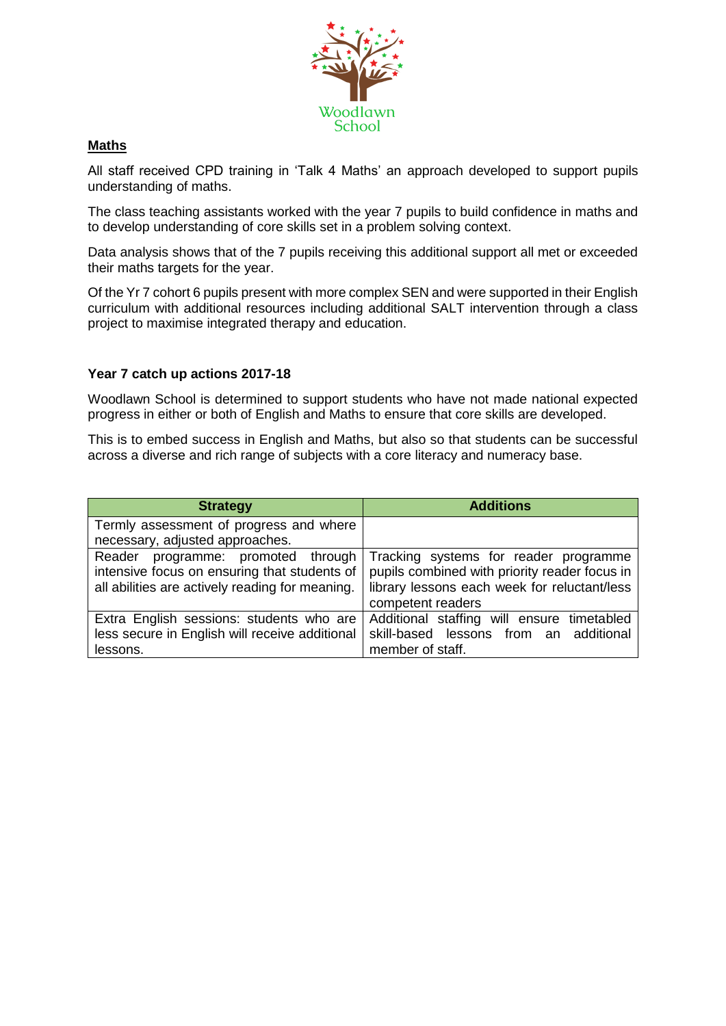

# **Maths**

All staff received CPD training in 'Talk 4 Maths' an approach developed to support pupils understanding of maths.

The class teaching assistants worked with the year 7 pupils to build confidence in maths and to develop understanding of core skills set in a problem solving context.

Data analysis shows that of the 7 pupils receiving this additional support all met or exceeded their maths targets for the year.

Of the Yr 7 cohort 6 pupils present with more complex SEN and were supported in their English curriculum with additional resources including additional SALT intervention through a class project to maximise integrated therapy and education.

## **Year 7 catch up actions 2017-18**

Woodlawn School is determined to support students who have not made national expected progress in either or both of English and Maths to ensure that core skills are developed.

This is to embed success in English and Maths, but also so that students can be successful across a diverse and rich range of subjects with a core literacy and numeracy base.

| <b>Strategy</b>                                                            | <b>Additions</b>                              |
|----------------------------------------------------------------------------|-----------------------------------------------|
| Termly assessment of progress and where<br>necessary, adjusted approaches. |                                               |
| Reader                                                                     | Tracking systems for reader programme         |
| programme: promoted through                                                | pupils combined with priority reader focus in |
| intensive focus on ensuring that students of                               | library lessons each week for reluctant/less  |
| all abilities are actively reading for meaning.                            | competent readers                             |
| Extra English sessions: students who are                                   | Additional staffing will ensure timetabled    |
| less secure in English will receive additional                             | skill-based lessons from an additional        |
| lessons.                                                                   | member of staff.                              |